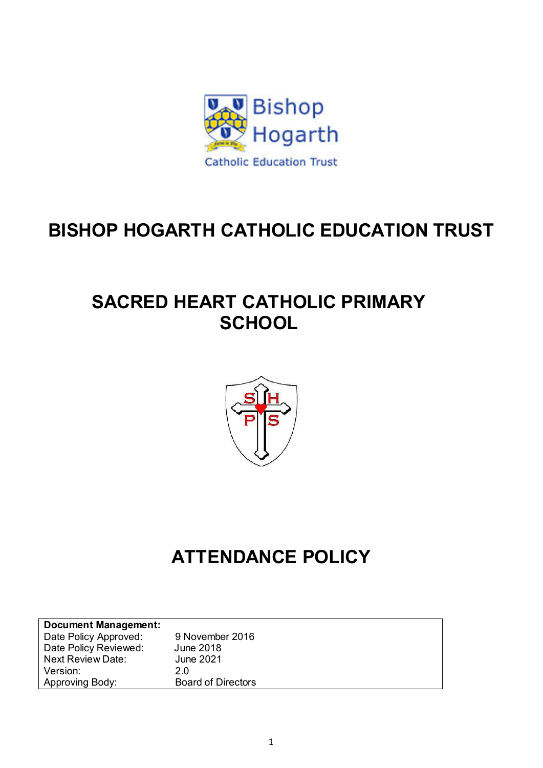

## **BISHOP HOGARTH CATHOLIC EDUCATION TRUST**

## **SACRED HEART CATHOLIC PRIMARY SCHOOL**



# **ATTENDANCE POLICY**

| <b>Document Management:</b> |                           |
|-----------------------------|---------------------------|
| Date Policy Approved:       | 9 November 2016           |
| Date Policy Reviewed:       | June 2018                 |
| <b>Next Review Date:</b>    | <b>June 2021</b>          |
| Version:                    | 2.0                       |
| Approving Body:             | <b>Board of Directors</b> |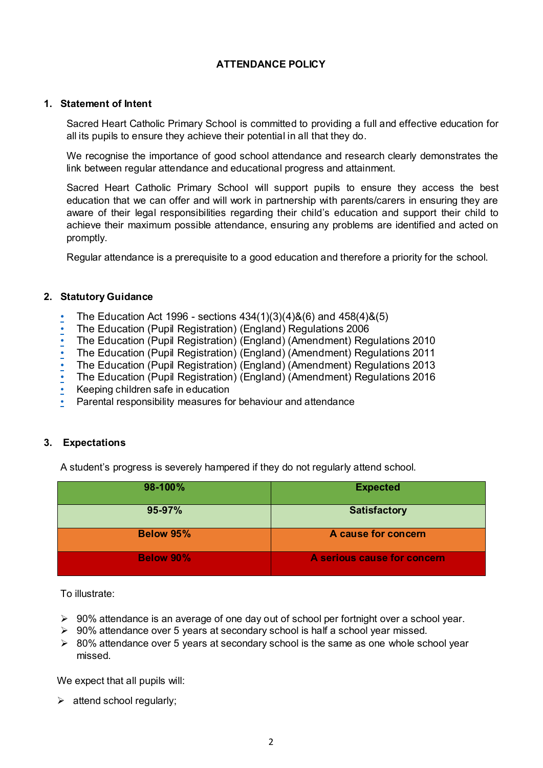### **ATTENDANCE POLICY**

#### **1. Statement of Intent**

Sacred Heart Catholic Primary School is committed to providing a full and effective education for all its pupils to ensure they achieve their potential in all that they do.

We recognise the importance of good school attendance and research clearly demonstrates the link between regular attendance and educational progress and attainment.

Sacred Heart Catholic Primary School will support pupils to ensure they access the best education that we can offer and will work in partnership with parents/carers in ensuring they are aware of their legal responsibilities regarding their child's education and support their child to achieve their maximum possible attendance, ensuring any problems are identified and acted on promptly.

Regular attendance is a prerequisite to a good education and therefore a priority for the school.

#### **2. Statutory Guidance**

- [The Education Act 1996 sections 434\(1\)\(3\)\(4\)&\(6\) and 458\(4\)&\(5\)](http://www.legislation.gov.uk/ukpga/2006/40/contents)
- [The Education \(Pupil Registration\) \(England\) Regulations 2006](http://www.legislation.gov.uk/uksi/2006/1751/regulation/8/made)
- The Education (Pupil Registration) (England) (Amendment) Regulations 2010
- The Education (Pupil Registration) (England) (Amendment) Regulations 2011
- The Education (Pupil Registration) (England) (Amendment) Regulations 2013
- The Education (Pupil Registration) (England) (Amendment) Regulations 2016
- [Keeping children safe in education](http://www.gov.uk/government/publications/keeping-children-safe-in-education--2)
- [Parental responsibility measures for behaviour and attendance](https://www.gov.uk/government/uploads/system/uploads/attachment_data/file/401467/parental_responsibility_measures_for_school_attendance_and_behaviour.pdf.pdf)

#### **3. Expectations**

A student's progress is severely hampered if they do not regularly attend school.

| 98-100%          | <b>Expected</b>             |
|------------------|-----------------------------|
| 95-97%           | <b>Satisfactory</b>         |
| <b>Below 95%</b> | A cause for concern         |
| <b>Below 90%</b> | A serious cause for concern |

To illustrate:

- $\triangleright$  90% attendance is an average of one day out of school per fortnight over a school year.
- $\geq 90\%$  attendance over 5 years at secondary school is half a school year missed.
- $\geq 80\%$  attendance over 5 years at secondary school is the same as one whole school year missed.

We expect that all pupils will:

 $\triangleright$  attend school regularly;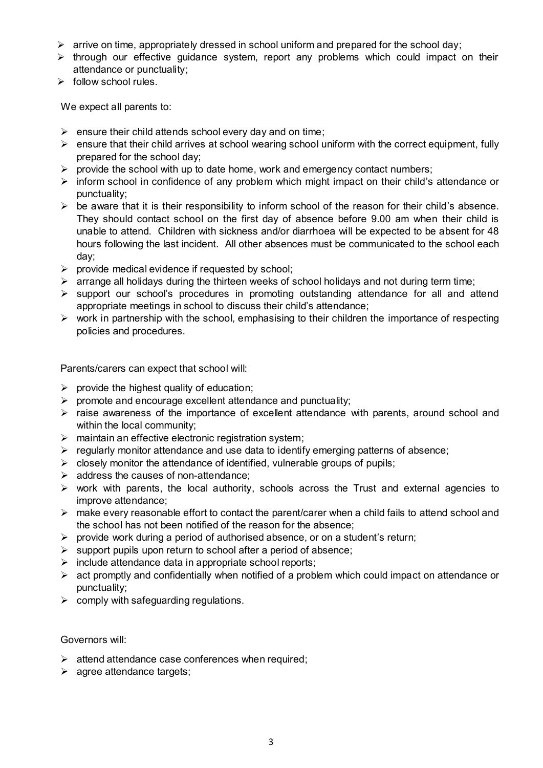- $\triangleright$  arrive on time, appropriately dressed in school uniform and prepared for the school day;
- $\triangleright$  through our effective guidance system, report any problems which could impact on their attendance or punctuality;
- $\triangleright$  follow school rules.

We expect all parents to:

- $\triangleright$  ensure their child attends school every day and on time;
- $\triangleright$  ensure that their child arrives at school wearing school uniform with the correct equipment, fully prepared for the school day;
- $\triangleright$  provide the school with up to date home, work and emergency contact numbers;
- $\triangleright$  inform school in confidence of any problem which might impact on their child's attendance or punctuality;
- $\triangleright$  be aware that it is their responsibility to inform school of the reason for their child's absence. They should contact school on the first day of absence before 9.00 am when their child is unable to attend. Children with sickness and/or diarrhoea will be expected to be absent for 48 hours following the last incident. All other absences must be communicated to the school each day;
- $\triangleright$  provide medical evidence if requested by school:
- $\triangleright$  arrange all holidays during the thirteen weeks of school holidays and not during term time;
- $\triangleright$  support our school's procedures in promoting outstanding attendance for all and attend appropriate meetings in school to discuss their child's attendance;
- $\triangleright$  work in partnership with the school, emphasising to their children the importance of respecting policies and procedures.

Parents/carers can expect that school will:

- $\triangleright$  provide the highest quality of education;
- $\triangleright$  promote and encourage excellent attendance and punctuality;
- $\triangleright$  raise awareness of the importance of excellent attendance with parents, around school and within the local community;
- $\triangleright$  maintain an effective electronic registration system;
- $\triangleright$  regularly monitor attendance and use data to identify emerging patterns of absence;
- $\triangleright$  closely monitor the attendance of identified, vulnerable groups of pupils;
- $\triangleright$  address the causes of non-attendance;
- $\triangleright$  work with parents, the local authority, schools across the Trust and external agencies to improve attendance;
- $\triangleright$  make every reasonable effort to contact the parent/carer when a child fails to attend school and the school has not been notified of the reason for the absence;
- $\triangleright$  provide work during a period of authorised absence, or on a student's return;
- $\triangleright$  support pupils upon return to school after a period of absence;
- $\triangleright$  include attendance data in appropriate school reports;
- $\triangleright$  act promptly and confidentially when notified of a problem which could impact on attendance or punctuality;
- $\triangleright$  comply with safeguarding regulations.

#### Governors will:

- $\triangleright$  attend attendance case conferences when required;
- $\triangleright$  agree attendance targets;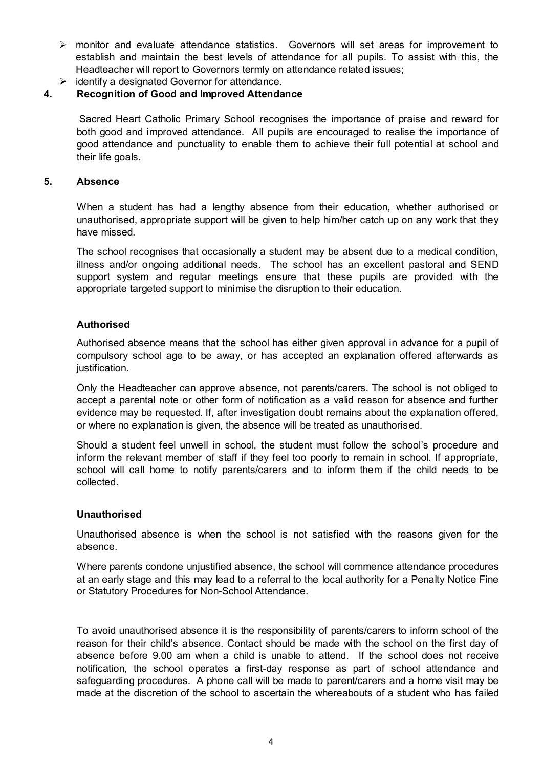- monitor and evaluate attendance statistics. Governors will set areas for improvement to establish and maintain the best levels of attendance for all pupils. To assist with this, the Headteacher will report to Governors termly on attendance related issues;
- $\triangleright$  identify a designated Governor for attendance.

#### **4. Recognition of Good and Improved Attendance**

Sacred Heart Catholic Primary School recognises the importance of praise and reward for both good and improved attendance. All pupils are encouraged to realise the importance of good attendance and punctuality to enable them to achieve their full potential at school and their life goals.

#### **5. Absence**

When a student has had a lengthy absence from their education, whether authorised or unauthorised, appropriate support will be given to help him/her catch up on any work that they have missed.

The school recognises that occasionally a student may be absent due to a medical condition, illness and/or ongoing additional needs. The school has an excellent pastoral and SEND support system and regular meetings ensure that these pupils are provided with the appropriate targeted support to minimise the disruption to their education.

#### **Authorised**

Authorised absence means that the school has either given approval in advance for a pupil of compulsory school age to be away, or has accepted an explanation offered afterwards as justification.

Only the Headteacher can approve absence, not parents/carers. The school is not obliged to accept a parental note or other form of notification as a valid reason for absence and further evidence may be requested. If, after investigation doubt remains about the explanation offered, or where no explanation is given, the absence will be treated as unauthorised.

Should a student feel unwell in school, the student must follow the school's procedure and inform the relevant member of staff if they feel too poorly to remain in school. If appropriate, school will call home to notify parents/carers and to inform them if the child needs to be collected.

#### **Unauthorised**

Unauthorised absence is when the school is not satisfied with the reasons given for the absence.

Where parents condone unjustified absence, the school will commence attendance procedures at an early stage and this may lead to a referral to the local authority for a Penalty Notice Fine or Statutory Procedures for Non-School Attendance.

To avoid unauthorised absence it is the responsibility of parents/carers to inform school of the reason for their child's absence. Contact should be made with the school on the first day of absence before 9.00 am when a child is unable to attend. If the school does not receive notification, the school operates a first-day response as part of school attendance and safeguarding procedures. A phone call will be made to parent/carers and a home visit may be made at the discretion of the school to ascertain the whereabouts of a student who has failed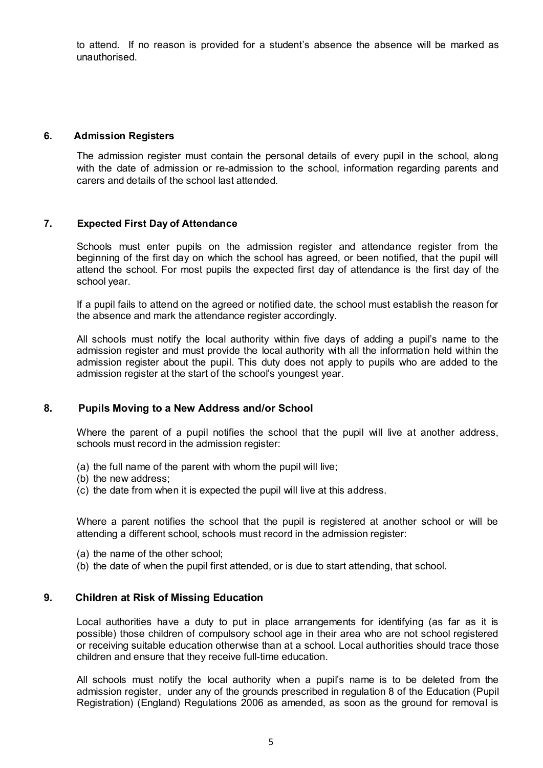to attend. If no reason is provided for a student's absence the absence will be marked as unauthorised.

#### **6. Admission Registers**

The admission register must contain the personal details of every pupil in the school, along with the date of admission or re-admission to the school, information regarding parents and carers and details of the school last attended.

#### **7. Expected First Day of Attendance**

Schools must enter pupils on the admission register and attendance register from the beginning of the first day on which the school has agreed, or been notified, that the pupil will attend the school. For most pupils the expected first day of attendance is the first day of the school year.

If a pupil fails to attend on the agreed or notified date, the school must establish the reason for the absence and mark the attendance register accordingly.

All schools must notify the local authority within five days of adding a pupil's name to the admission register and must provide the local authority with all the information held within the admission register about the pupil. This duty does not apply to pupils who are added to the admission register at the start of the school's youngest year.

#### **8. Pupils Moving to a New Address and/or School**

Where the parent of a pupil notifies the school that the pupil will live at another address, schools must record in the admission register:

- (a) the full name of the parent with whom the pupil will live;
- (b) the new address;
- (c) the date from when it is expected the pupil will live at this address.

Where a parent notifies the school that the pupil is registered at another school or will be attending a different school, schools must record in the admission register:

- (a) the name of the other school;
- (b) the date of when the pupil first attended, or is due to start attending, that school.

#### **9. Children at Risk of Missing Education**

Local authorities have a duty to put in place arrangements for identifying (as far as it is possible) those children of compulsory school age in their area who are not school registered or receiving suitable education otherwise than at a school. Local authorities should trace those children and ensure that they receive full-time education.

All schools must notify the local authority when a pupil's name is to be deleted from the admission register, under any of the grounds prescribed in regulation 8 of the Education (Pupil Registration) (England) Regulations 2006 as amended, as soon as the ground for removal is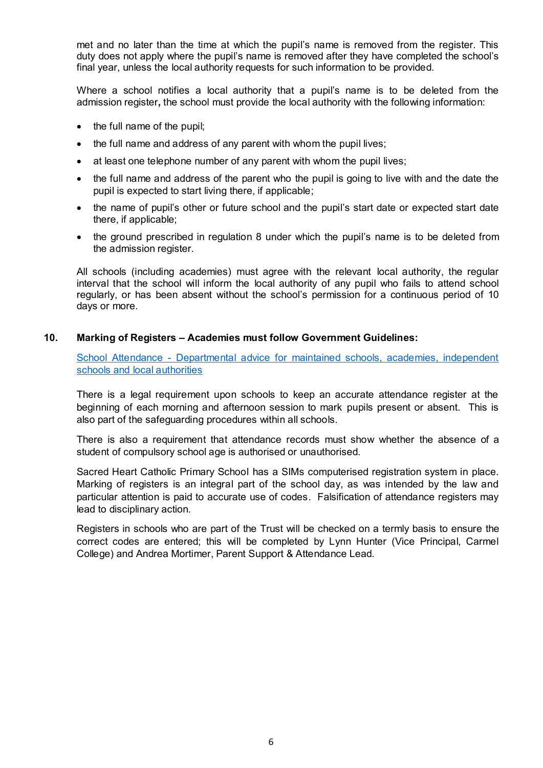met and no later than the time at which the pupil's name is removed from the register. This duty does not apply where the pupil's name is removed after they have completed the school's final year, unless the local authority requests for such information to be provided.

Where a school notifies a local authority that a pupil's name is to be deleted from the admission register**,** the school must provide the local authority with the following information:

- the full name of the pupil;
- the full name and address of any parent with whom the pupil lives;
- at least one telephone number of any parent with whom the pupil lives;
- the full name and address of the parent who the pupil is going to live with and the date the pupil is expected to start living there, if applicable;
- the name of pupil's other or future school and the pupil's start date or expected start date there, if applicable;
- the ground prescribed in regulation 8 under which the pupil's name is to be deleted from the admission register.

All schools (including academies) must agree with the relevant local authority, the regular interval that the school will inform the local authority of any pupil who fails to attend school regularly, or has been absent without the school's permission for a continuous period of 10 days or more.

#### **10. Marking of Registers – Academies must follow Government Guidelines:**

[School Attendance - Departmental advice for maintained schools, academies, independent](https://www.gov.uk/government/uploads/system/uploads/attachment_data/file/518586/Advice_on_school_attendance.pdf)  [schools and local authorities](https://www.gov.uk/government/uploads/system/uploads/attachment_data/file/518586/Advice_on_school_attendance.pdf)

There is a legal requirement upon schools to keep an accurate attendance register at the beginning of each morning and afternoon session to mark pupils present or absent. This is also part of the safeguarding procedures within all schools.

There is also a requirement that attendance records must show whether the absence of a student of compulsory school age is authorised or unauthorised.

Sacred Heart Catholic Primary School has a SIMs computerised registration system in place. Marking of registers is an integral part of the school day, as was intended by the law and particular attention is paid to accurate use of codes. Falsification of attendance registers may lead to disciplinary action.

Registers in schools who are part of the Trust will be checked on a termly basis to ensure the correct codes are entered; this will be completed by Lynn Hunter (Vice Principal, Carmel College) and Andrea Mortimer, Parent Support & Attendance Lead.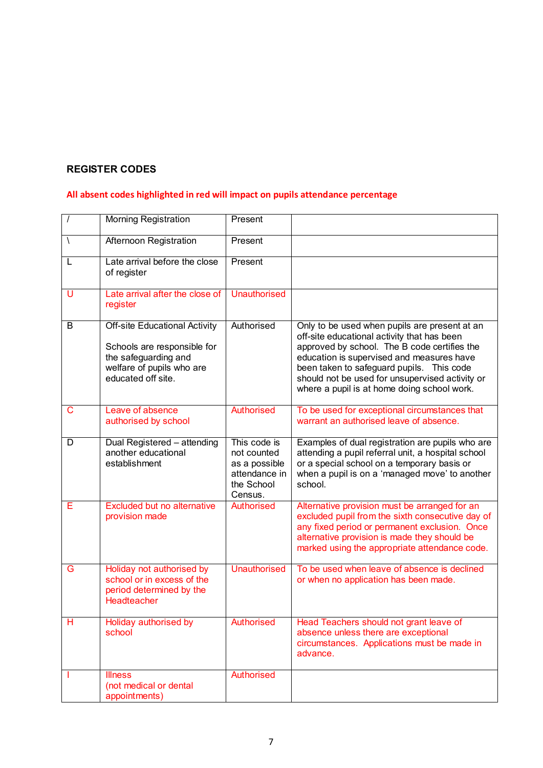## **REGISTER CODES**

## **All absent codes highlighted in red will impact on pupils attendance percentage**

|            | <b>Morning Registration</b>                                                                                                                    | Present                                                                                |                                                                                                                                                                                                                                                                                                                                          |
|------------|------------------------------------------------------------------------------------------------------------------------------------------------|----------------------------------------------------------------------------------------|------------------------------------------------------------------------------------------------------------------------------------------------------------------------------------------------------------------------------------------------------------------------------------------------------------------------------------------|
| $\sqrt{2}$ | Afternoon Registration                                                                                                                         | Present                                                                                |                                                                                                                                                                                                                                                                                                                                          |
| L          | Late arrival before the close<br>of register                                                                                                   | Present                                                                                |                                                                                                                                                                                                                                                                                                                                          |
| U          | Late arrival after the close of<br>register                                                                                                    | <b>Unauthorised</b>                                                                    |                                                                                                                                                                                                                                                                                                                                          |
| B          | <b>Off-site Educational Activity</b><br>Schools are responsible for<br>the safeguarding and<br>welfare of pupils who are<br>educated off site. | Authorised                                                                             | Only to be used when pupils are present at an<br>off-site educational activity that has been<br>approved by school. The B code certifies the<br>education is supervised and measures have<br>been taken to safeguard pupils. This code<br>should not be used for unsupervised activity or<br>where a pupil is at home doing school work. |
| C          | Leave of absence<br>authorised by school                                                                                                       | <b>Authorised</b>                                                                      | To be used for exceptional circumstances that<br>warrant an authorised leave of absence.                                                                                                                                                                                                                                                 |
| D          | Dual Registered - attending<br>another educational<br>establishment                                                                            | This code is<br>not counted<br>as a possible<br>attendance in<br>the School<br>Census. | Examples of dual registration are pupils who are<br>attending a pupil referral unit, a hospital school<br>or a special school on a temporary basis or<br>when a pupil is on a 'managed move' to another<br>school.                                                                                                                       |
| Е          | <b>Excluded but no alternative</b><br>provision made                                                                                           | Authorised                                                                             | Alternative provision must be arranged for an<br>excluded pupil from the sixth consecutive day of<br>any fixed period or permanent exclusion. Once<br>alternative provision is made they should be<br>marked using the appropriate attendance code.                                                                                      |
| G          | Holiday not authorised by<br>school or in excess of the<br>period determined by the<br>Headteacher                                             | <b>Unauthorised</b>                                                                    | To be used when leave of absence is declined<br>or when no application has been made.                                                                                                                                                                                                                                                    |
| Η          | Holiday authorised by<br>school                                                                                                                | <b>Authorised</b>                                                                      | Head Teachers should not grant leave of<br>absence unless there are exceptional<br>circumstances. Applications must be made in<br>advance.                                                                                                                                                                                               |
|            | <b>Illness</b><br>(not medical or dental<br>appointments)                                                                                      | Authorised                                                                             |                                                                                                                                                                                                                                                                                                                                          |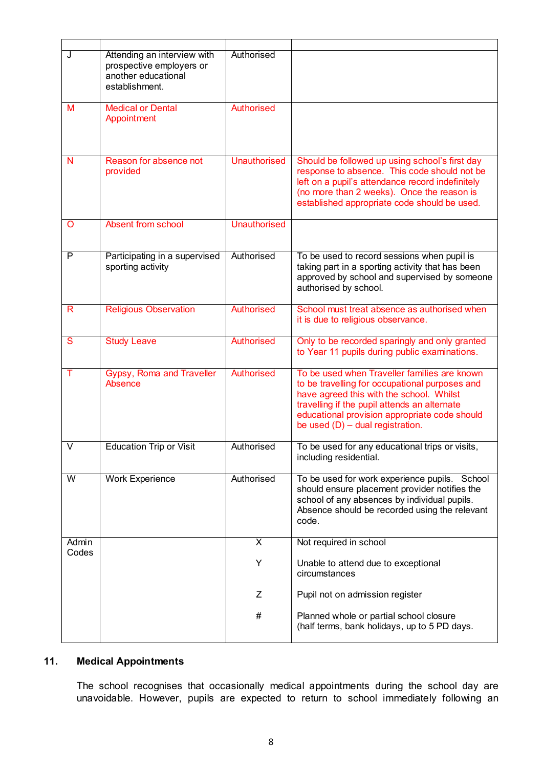| J                       | Attending an interview with<br>prospective employers or<br>another educational<br>establishment. | Authorised          |                                                                                                                                                                                                                                                                                   |
|-------------------------|--------------------------------------------------------------------------------------------------|---------------------|-----------------------------------------------------------------------------------------------------------------------------------------------------------------------------------------------------------------------------------------------------------------------------------|
| М                       | <b>Medical or Dental</b><br>Appointment                                                          | Authorised          |                                                                                                                                                                                                                                                                                   |
| N                       | Reason for absence not<br>provided                                                               | <b>Unauthorised</b> | Should be followed up using school's first day<br>response to absence. This code should not be<br>left on a pupil's attendance record indefinitely<br>(no more than 2 weeks). Once the reason is<br>established appropriate code should be used.                                  |
| O                       | Absent from school                                                                               | <b>Unauthorised</b> |                                                                                                                                                                                                                                                                                   |
| P                       | Participating in a supervised<br>sporting activity                                               | Authorised          | To be used to record sessions when pupil is<br>taking part in a sporting activity that has been<br>approved by school and supervised by someone<br>authorised by school.                                                                                                          |
| R                       | <b>Religious Observation</b>                                                                     | <b>Authorised</b>   | School must treat absence as authorised when<br>it is due to religious observance.                                                                                                                                                                                                |
| S                       | <b>Study Leave</b>                                                                               | <b>Authorised</b>   | Only to be recorded sparingly and only granted<br>to Year 11 pupils during public examinations.                                                                                                                                                                                   |
| т                       | Gypsy, Roma and Traveller<br>Absence                                                             | <b>Authorised</b>   | To be used when Traveller families are known<br>to be travelling for occupational purposes and<br>have agreed this with the school. Whilst<br>travelling if the pupil attends an alternate<br>educational provision appropriate code should<br>be used $(D)$ – dual registration. |
| $\vee$                  | <b>Education Trip or Visit</b>                                                                   | Authorised          | To be used for any educational trips or visits,<br>including residential.                                                                                                                                                                                                         |
| $\overline{\mathsf{W}}$ | <b>Work Experience</b>                                                                           | Authorised          | To be used for work experience pupils. School<br>should ensure placement provider notifies the<br>school of any absences by individual pupils.<br>Absence should be recorded using the relevant<br>code.                                                                          |
| Admin                   |                                                                                                  | X                   | Not required in school                                                                                                                                                                                                                                                            |
| Codes                   |                                                                                                  | Υ                   | Unable to attend due to exceptional<br>circumstances                                                                                                                                                                                                                              |
|                         |                                                                                                  | Ζ                   | Pupil not on admission register                                                                                                                                                                                                                                                   |
|                         |                                                                                                  | #                   | Planned whole or partial school closure<br>(half terms, bank holidays, up to 5 PD days.                                                                                                                                                                                           |

### **11. Medical Appointments**

The school recognises that occasionally medical appointments during the school day are unavoidable. However, pupils are expected to return to school immediately following an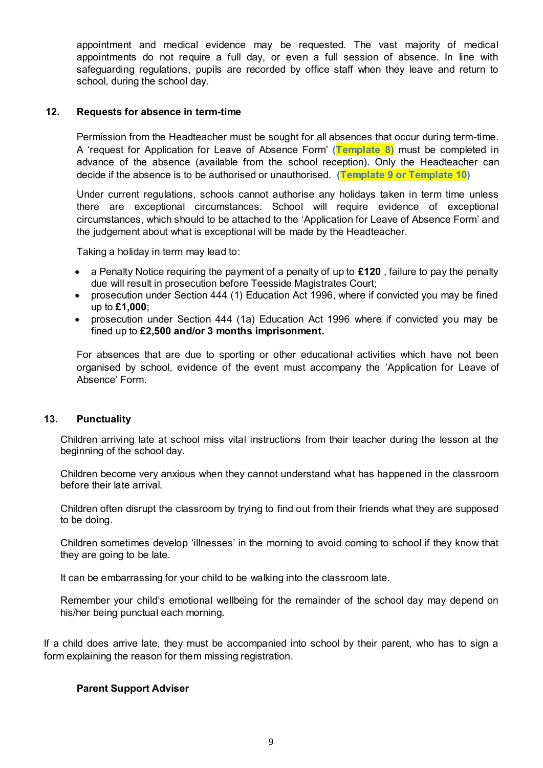appointment and medical evidence may be requested. The vast majority of medical appointments do not require a full day, or even a full session of absence. In line with safeguarding regulations, pupils are recorded by office staff when they leave and return to school, during the school day.

#### **12. Requests for absence in term-time**

Permission from the Headteacher must be sought for all absences that occur during term-time. A 'request for Application for Leave of Absence Form' **(Template 8)** must be completed in advance of the absence (available from the school reception). Only the Headteacher can decide if the absence is to be authorised or unauthorised. **(Template 9 or Template 10)**

Under current regulations, schools cannot authorise any holidays taken in term time unless there are exceptional circumstances. School will require evidence of exceptional circumstances, which should to be attached to the 'Application for Leave of Absence Form' and the judgement about what is exceptional will be made by the Headteacher.

Taking a holiday in term may lead to:

- a Penalty Notice requiring the payment of a penalty of up to **£120** , failure to pay the penalty due will result in prosecution before Teesside Magistrates Court;
- prosecution under Section 444 (1) Education Act 1996, where if convicted you may be fined up to **£1,000**;
- prosecution under Section 444 (1a) Education Act 1996 where if convicted you may be fined up to **£2,500 and/or 3 months imprisonment.**

For absences that are due to sporting or other educational activities which have not been organised by school, evidence of the event must accompany the 'Application for Leave of Absence' Form.

#### **13. Punctuality**

Children arriving late at school miss vital instructions from their teacher during the lesson at the beginning of the school day.

Children become very anxious when they cannot understand what has happened in the classroom before their late arrival.

Children often disrupt the classroom by trying to find out from their friends what they are supposed to be doing.

Children sometimes develop 'illnesses' in the morning to avoid coming to school if they know that they are going to be late.

It can be embarrassing for your child to be walking into the classroom late.

Remember your child's emotional wellbeing for the remainder of the school day may depend on his/her being punctual each morning.

If a child does arrive late, they must be accompanied into school by their parent, who has to sign a form explaining the reason for them missing registration.

#### **Parent Support Adviser**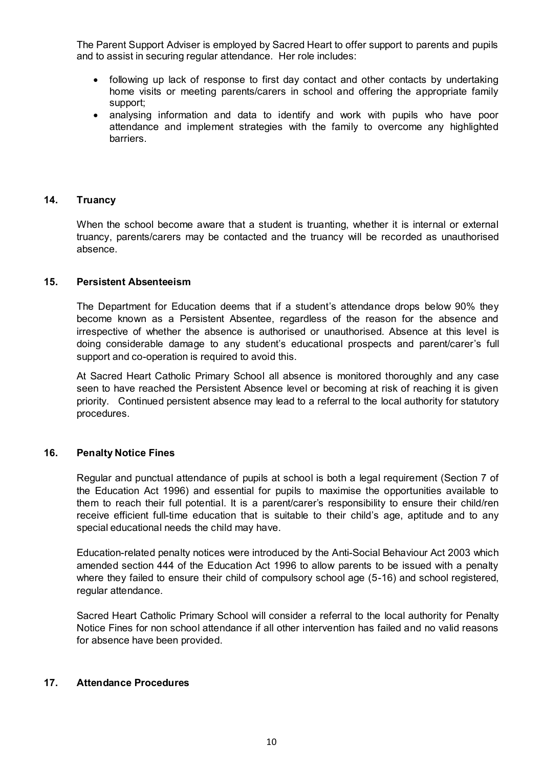The Parent Support Adviser is employed by Sacred Heart to offer support to parents and pupils and to assist in securing regular attendance. Her role includes:

- following up lack of response to first day contact and other contacts by undertaking home visits or meeting parents/carers in school and offering the appropriate family support;
- analysing information and data to identify and work with pupils who have poor attendance and implement strategies with the family to overcome any highlighted barriers.

#### **14. Truancy**

When the school become aware that a student is truanting, whether it is internal or external truancy, parents/carers may be contacted and the truancy will be recorded as unauthorised absence.

#### **15. Persistent Absenteeism**

The Department for Education deems that if a student's attendance drops below 90% they become known as a Persistent Absentee, regardless of the reason for the absence and irrespective of whether the absence is authorised or unauthorised. Absence at this level is doing considerable damage to any student's educational prospects and parent/carer's full support and co-operation is required to avoid this.

At Sacred Heart Catholic Primary School all absence is monitored thoroughly and any case seen to have reached the Persistent Absence level or becoming at risk of reaching it is given priority. Continued persistent absence may lead to a referral to the local authority for statutory procedures.

#### **16. Penalty Notice Fines**

Regular and punctual attendance of pupils at school is both a legal requirement (Section 7 of the Education Act 1996) and essential for pupils to maximise the opportunities available to them to reach their full potential. It is a parent/carer's responsibility to ensure their child/ren receive efficient full-time education that is suitable to their child's age, aptitude and to any special educational needs the child may have.

Education-related penalty notices were introduced by the Anti-Social Behaviour Act 2003 which amended section 444 of the Education Act 1996 to allow parents to be issued with a penalty where they failed to ensure their child of compulsory school age (5-16) and school registered, regular attendance.

Sacred Heart Catholic Primary School will consider a referral to the local authority for Penalty Notice Fines for non school attendance if all other intervention has failed and no valid reasons for absence have been provided.

#### **17. Attendance Procedures**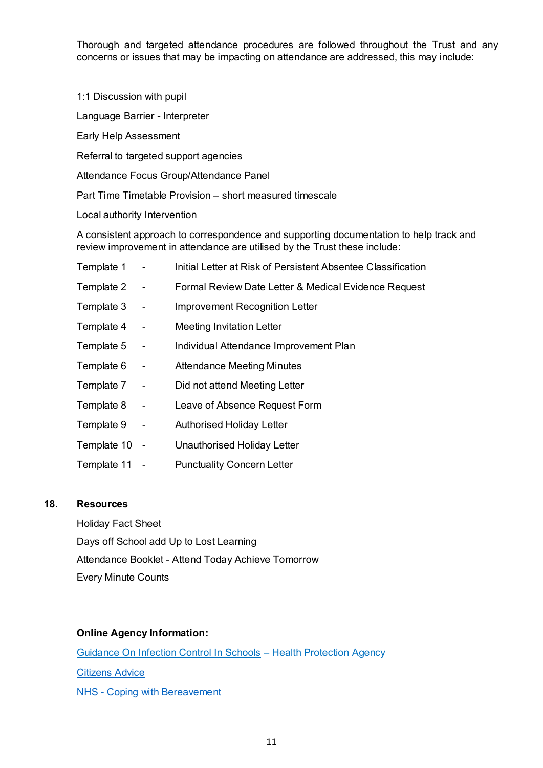Thorough and targeted attendance procedures are followed throughout the Trust and any concerns or issues that may be impacting on attendance are addressed, this may include:

1:1 Discussion with pupil

Language Barrier - Interpreter

Early Help Assessment

Referral to targeted support agencies

Attendance Focus Group/Attendance Panel

Part Time Timetable Provision – short measured timescale

Local authority Intervention

A consistent approach to correspondence and supporting documentation to help track and review improvement in attendance are utilised by the Trust these include:

| Template 1    |                          | Initial Letter at Risk of Persistent Absentee Classification |
|---------------|--------------------------|--------------------------------------------------------------|
| Template 2    | $\blacksquare$           | Formal Review Date Letter & Medical Evidence Request         |
| Template 3    | $\overline{\phantom{0}}$ | Improvement Recognition Letter                               |
| Template 4    | $\blacksquare$           | <b>Meeting Invitation Letter</b>                             |
| Template 5    | $\overline{\phantom{0}}$ | Individual Attendance Improvement Plan                       |
| Template 6    | $\blacksquare$           | <b>Attendance Meeting Minutes</b>                            |
| Template 7    | $\blacksquare$           | Did not attend Meeting Letter                                |
| Template 8    | $\blacksquare$           | Leave of Absence Request Form                                |
| Template 9    | $\blacksquare$           | <b>Authorised Holiday Letter</b>                             |
| Template 10 - |                          | Unauthorised Holiday Letter                                  |
| Template 11   |                          | <b>Punctuality Concern Letter</b>                            |

#### **18. Resources**

Holiday Fact Sheet Days off School add Up to Lost Learning Attendance Booklet - Attend Today Achieve Tomorrow Every Minute Counts

#### **Online Agency Information:**

Guidance On Infection Control In Schools – Health Protection Agency [Citizens Advice](https://www.citizensadvice.org.uk/) [NHS - Coping with Bereavement](https://www.nhs.uk/Livewell/bereavement/Pages/coping-with-bereavement.aspx)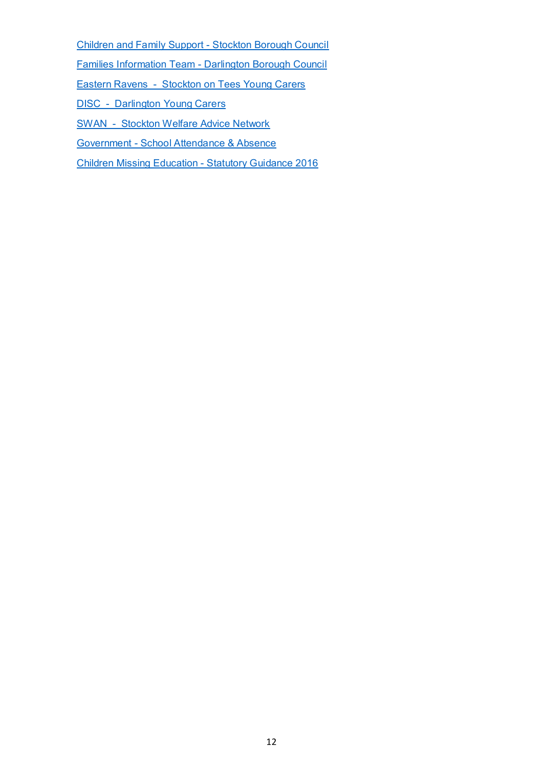[Children and Family Support - Stockton Borough Council](https://www.stockton.gov.uk/children-and-young-people/children-and-family-support/)

[Families Information Team - Darlington Borough Council](http://www.darlington.gov.uk/education-and-learning/families-information-team/)

[Eastern Ravens - Stockton on Tees Young Carers](http://www.easternravenstrust.org/)

[DISC - Darlington Young Carers](https://www.disc-vol.org.uk/projects/darlington-young-carers/)

[SWAN - Stockton Welfare Advice Network](http://www.stocktonadvice.org.uk/education/)

[Government - School Attendance & Absence](https://www.gov.uk/school-attendance-absence)

[Children Missing Education - Statutory Guidance 2016](https://assets.publishing.service.gov.uk/government/uploads/system/uploads/attachment_data/file/550416/Children_Missing_Education_-_statutory_guidance.pdf)